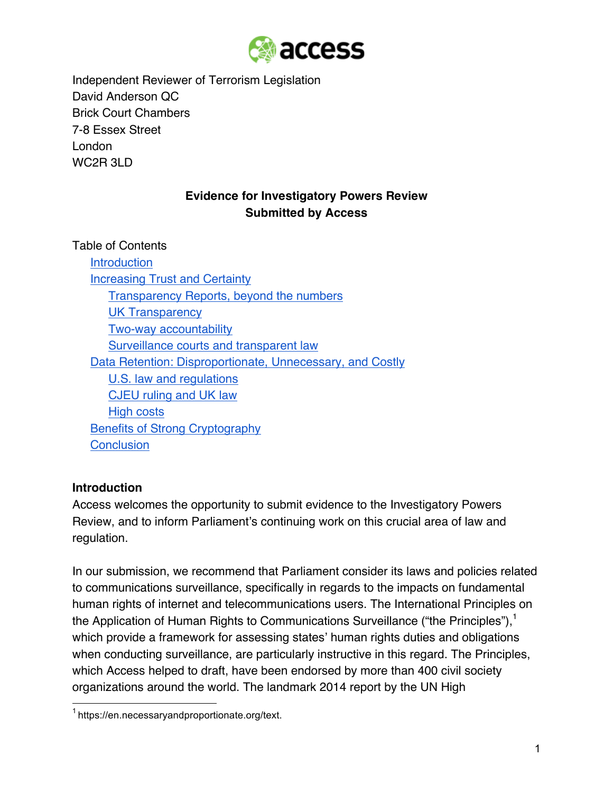

Independent Reviewer of Terrorism Legislation David Anderson QC Brick Court Chambers 7-8 Essex Street London WC<sub>2</sub>R 3LD

# **Evidence for Investigatory Powers Review Submitted by Access**

Table of Contents **Introduction** Increasing Trust and Certainty Transparency Reports, beyond the numbers UK Transparency Two-way accountability Surveillance courts and transparent law Data Retention: Disproportionate, Unnecessary, and Costly U.S. law and regulations CJEU ruling and UK law High costs Benefits of Strong Cryptography **Conclusion** 

### **Introduction**

Access welcomes the opportunity to submit evidence to the Investigatory Powers Review, and to inform Parliament's continuing work on this crucial area of law and regulation.

In our submission, we recommend that Parliament consider its laws and policies related to communications surveillance, specifically in regards to the impacts on fundamental human rights of internet and telecommunications users. The International Principles on the Application of Human Rights to Communications Surveillance ("the Principles"), $<sup>1</sup>$ </sup> which provide a framework for assessing states' human rights duties and obligations when conducting surveillance, are particularly instructive in this regard. The Principles, which Access helped to draft, have been endorsed by more than 400 civil society organizations around the world. The landmark 2014 report by the UN High

<sup>&</sup>lt;sup>1</sup> https://en.necessaryandproportionate.org/text.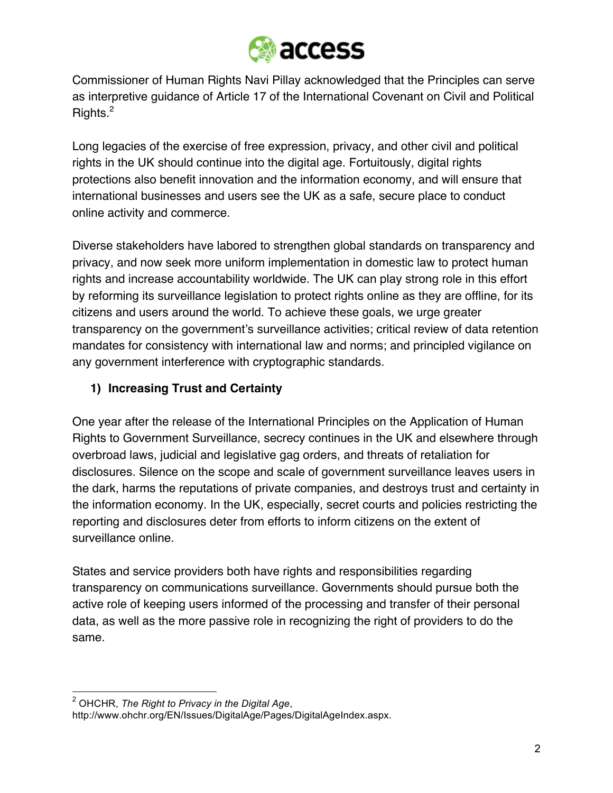

Commissioner of Human Rights Navi Pillay acknowledged that the Principles can serve as interpretive guidance of Article 17 of the International Covenant on Civil and Political Rights.<sup>2</sup>

Long legacies of the exercise of free expression, privacy, and other civil and political rights in the UK should continue into the digital age. Fortuitously, digital rights protections also benefit innovation and the information economy, and will ensure that international businesses and users see the UK as a safe, secure place to conduct online activity and commerce.

Diverse stakeholders have labored to strengthen global standards on transparency and privacy, and now seek more uniform implementation in domestic law to protect human rights and increase accountability worldwide. The UK can play strong role in this effort by reforming its surveillance legislation to protect rights online as they are offline, for its citizens and users around the world. To achieve these goals, we urge greater transparency on the government's surveillance activities; critical review of data retention mandates for consistency with international law and norms; and principled vigilance on any government interference with cryptographic standards.

# **1) Increasing Trust and Certainty**

One year after the release of the International Principles on the Application of Human Rights to Government Surveillance, secrecy continues in the UK and elsewhere through overbroad laws, judicial and legislative gag orders, and threats of retaliation for disclosures. Silence on the scope and scale of government surveillance leaves users in the dark, harms the reputations of private companies, and destroys trust and certainty in the information economy. In the UK, especially, secret courts and policies restricting the reporting and disclosures deter from efforts to inform citizens on the extent of surveillance online.

States and service providers both have rights and responsibilities regarding transparency on communications surveillance. Governments should pursue both the active role of keeping users informed of the processing and transfer of their personal data, as well as the more passive role in recognizing the right of providers to do the same.

 <sup>2</sup> OHCHR, *The Right to Privacy in the Digital Age*,

http://www.ohchr.org/EN/Issues/DigitalAge/Pages/DigitalAgeIndex.aspx.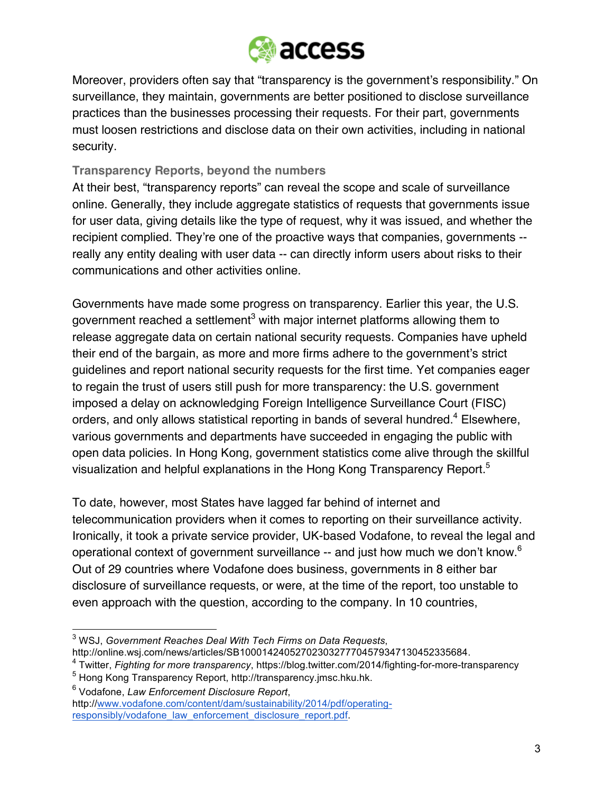

Moreover, providers often say that "transparency is the government's responsibility." On surveillance, they maintain, governments are better positioned to disclose surveillance practices than the businesses processing their requests. For their part, governments must loosen restrictions and disclose data on their own activities, including in national security.

### **Transparency Reports, beyond the numbers**

At their best, "transparency reports" can reveal the scope and scale of surveillance online. Generally, they include aggregate statistics of requests that governments issue for user data, giving details like the type of request, why it was issued, and whether the recipient complied. They're one of the proactive ways that companies, governments - really any entity dealing with user data -- can directly inform users about risks to their communications and other activities online.

Governments have made some progress on transparency. Earlier this year, the U.S. government reached a settlement<sup>3</sup> with major internet platforms allowing them to release aggregate data on certain national security requests. Companies have upheld their end of the bargain, as more and more firms adhere to the government's strict guidelines and report national security requests for the first time. Yet companies eager to regain the trust of users still push for more transparency: the U.S. government imposed a delay on acknowledging Foreign Intelligence Surveillance Court (FISC) orders, and only allows statistical reporting in bands of several hundred.<sup>4</sup> Elsewhere, various governments and departments have succeeded in engaging the public with open data policies. In Hong Kong, government statistics come alive through the skillful visualization and helpful explanations in the Hong Kong Transparency Report.<sup>5</sup>

To date, however, most States have lagged far behind of internet and telecommunication providers when it comes to reporting on their surveillance activity. Ironically, it took a private service provider, UK-based Vodafone, to reveal the legal and operational context of government surveillance -- and just how much we don't know.<sup>6</sup> Out of 29 countries where Vodafone does business, governments in 8 either bar disclosure of surveillance requests, or were, at the time of the report, too unstable to even approach with the question, according to the company. In 10 countries,

 <sup>3</sup> WSJ, *Government Reaches Deal With Tech Firms on Data Requests*, http://online.wsj.com/news/articles/SB10001424052702303277704579347130452335684.

<sup>4</sup> Twitter, *Fighting for more transparency*, https://blog.twitter.com/2014/fighting-for-more-transparency

<sup>5</sup> Hong Kong Transparency Report, http://transparency.jmsc.hku.hk.

<sup>6</sup> Vodafone, *Law Enforcement Disclosure Report*, http://www.vodafone.com/content/dam/sustainability/2014/pdf/operatingresponsibly/vodafone\_law\_enforcement\_disclosure\_report.pdf.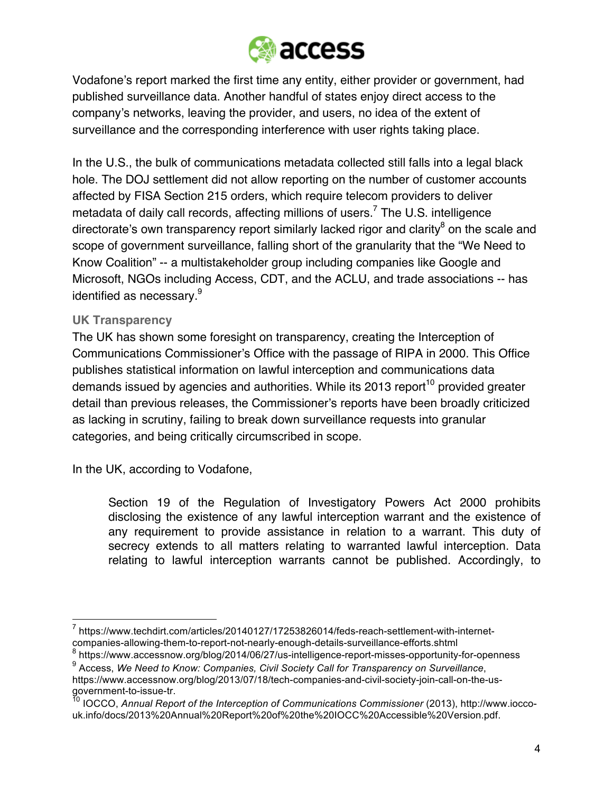

Vodafone's report marked the first time any entity, either provider or government, had published surveillance data. Another handful of states enjoy direct access to the company's networks, leaving the provider, and users, no idea of the extent of surveillance and the corresponding interference with user rights taking place.

In the U.S., the bulk of communications metadata collected still falls into a legal black hole. The DOJ settlement did not allow reporting on the number of customer accounts affected by FISA Section 215 orders, which require telecom providers to deliver metadata of daily call records, affecting millions of users.<sup>7</sup> The U.S. intelligence directorate's own transparency report similarly lacked rigor and clarity<sup>8</sup> on the scale and scope of government surveillance, falling short of the granularity that the "We Need to Know Coalition" -- a multistakeholder group including companies like Google and Microsoft, NGOs including Access, CDT, and the ACLU, and trade associations -- has identified as necessary.<sup>9</sup>

#### **UK Transparency**

The UK has shown some foresight on transparency, creating the Interception of Communications Commissioner's Office with the passage of RIPA in 2000. This Office publishes statistical information on lawful interception and communications data demands issued by agencies and authorities. While its 2013 report<sup>10</sup> provided greater detail than previous releases, the Commissioner's reports have been broadly criticized as lacking in scrutiny, failing to break down surveillance requests into granular categories, and being critically circumscribed in scope.

In the UK, according to Vodafone,

Section 19 of the Regulation of Investigatory Powers Act 2000 prohibits disclosing the existence of any lawful interception warrant and the existence of any requirement to provide assistance in relation to a warrant. This duty of secrecy extends to all matters relating to warranted lawful interception. Data relating to lawful interception warrants cannot be published. Accordingly, to

 $^7$  https://www.techdirt.com/articles/20140127/17253826014/feds-reach-settlement-with-internetcompanies-allowing-them-to-report-not-nearly-enough-details-surveillance-efforts.shtml

<sup>8</sup> https://www.accessnow.org/blog/2014/06/27/us-intelligence-report-misses-opportunity-for-openness <sup>9</sup> Access, *We Need to Know: Companies, Civil Society Call for Transparency on Surveillance*,

https://www.accessnow.org/blog/2013/07/18/tech-companies-and-civil-society-join-call-on-the-usgovernment-to-issue-tr.

<sup>10</sup> IOCCO, *Annual Report of the Interception of Communications Commissioner* (2013), http://www.ioccouk.info/docs/2013%20Annual%20Report%20of%20the%20IOCC%20Accessible%20Version.pdf.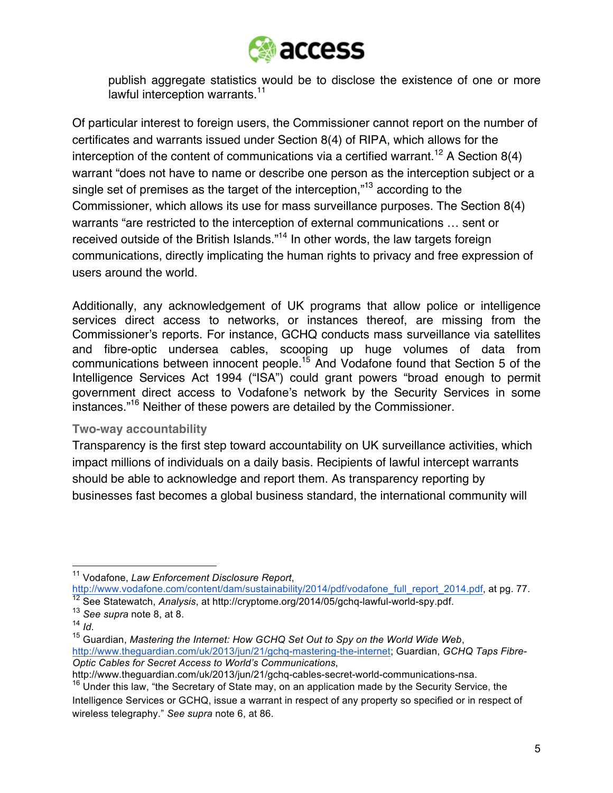

publish aggregate statistics would be to disclose the existence of one or more lawful interception warrants.<sup>11</sup>

Of particular interest to foreign users, the Commissioner cannot report on the number of certificates and warrants issued under Section 8(4) of RIPA, which allows for the interception of the content of communications via a certified warrant.<sup>12</sup> A Section 8(4) warrant "does not have to name or describe one person as the interception subject or a single set of premises as the target of the interception,"13 according to the Commissioner, which allows its use for mass surveillance purposes. The Section 8(4) warrants "are restricted to the interception of external communications … sent or received outside of the British Islands."<sup>14</sup> In other words, the law targets foreign communications, directly implicating the human rights to privacy and free expression of users around the world.

Additionally, any acknowledgement of UK programs that allow police or intelligence services direct access to networks, or instances thereof, are missing from the Commissioner's reports. For instance, GCHQ conducts mass surveillance via satellites and fibre-optic undersea cables, scooping up huge volumes of data from communications between innocent people.15 And Vodafone found that Section 5 of the Intelligence Services Act 1994 ("ISA") could grant powers "broad enough to permit government direct access to Vodafone's network by the Security Services in some instances."16 Neither of these powers are detailed by the Commissioner.

#### **Two-way accountability**

Transparency is the first step toward accountability on UK surveillance activities, which impact millions of individuals on a daily basis. Recipients of lawful intercept warrants should be able to acknowledge and report them. As transparency reporting by businesses fast becomes a global business standard, the international community will

http://www.vodafone.com/content/dam/sustainability/2014/pdf/vodafone\_full\_report\_2014.pdf, at pg. 77. <sup>12</sup> See Statewatch, *Analysis*, at http://cryptome.org/2014/05/gchq-lawful-world-spy.pdf.

 <sup>11</sup> Vodafone, *Law Enforcement Disclosure Report*,

<sup>13</sup> *See supra* note 8, at 8.

<sup>&</sup>lt;sup>15</sup> Guardian, *Mastering the Internet: How GCHQ Set Out to Spy on the World Wide Web,* http://www.theguardian.com/uk/2013/jun/21/gchq-mastering-the-internet; Guardian, *GCHQ Taps Fibre-Optic Cables for Secret Access to World's Communications*,

http://www.theguardian.com/uk/2013/jun/21/gchq-cables-secret-world-communications-nsa. <sup>16</sup> Under this law, "the Secretary of State may, on an application made by the Security Service, the

Intelligence Services or GCHQ, issue a warrant in respect of any property so specified or in respect of wireless telegraphy." *See supra* note 6, at 86.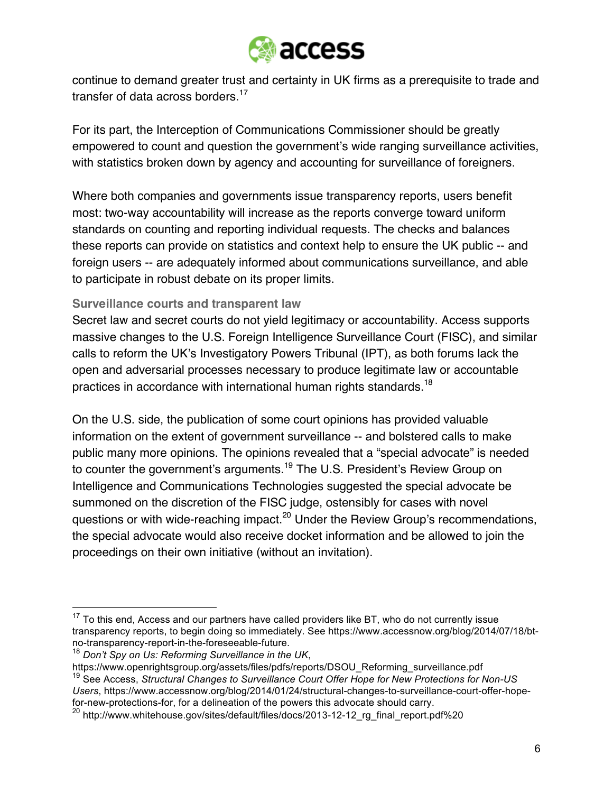

continue to demand greater trust and certainty in UK firms as a prerequisite to trade and transfer of data across borders.<sup>17</sup>

For its part, the Interception of Communications Commissioner should be greatly empowered to count and question the government's wide ranging surveillance activities, with statistics broken down by agency and accounting for surveillance of foreigners.

Where both companies and governments issue transparency reports, users benefit most: two-way accountability will increase as the reports converge toward uniform standards on counting and reporting individual requests. The checks and balances these reports can provide on statistics and context help to ensure the UK public -- and foreign users -- are adequately informed about communications surveillance, and able to participate in robust debate on its proper limits.

### **Surveillance courts and transparent law**

Secret law and secret courts do not yield legitimacy or accountability. Access supports massive changes to the U.S. Foreign Intelligence Surveillance Court (FISC), and similar calls to reform the UK's Investigatory Powers Tribunal (IPT), as both forums lack the open and adversarial processes necessary to produce legitimate law or accountable practices in accordance with international human rights standards.<sup>18</sup>

On the U.S. side, the publication of some court opinions has provided valuable information on the extent of government surveillance -- and bolstered calls to make public many more opinions. The opinions revealed that a "special advocate" is needed to counter the government's arguments.<sup>19</sup> The U.S. President's Review Group on Intelligence and Communications Technologies suggested the special advocate be summoned on the discretion of the FISC judge, ostensibly for cases with novel questions or with wide-reaching impact.<sup>20</sup> Under the Review Group's recommendations, the special advocate would also receive docket information and be allowed to join the proceedings on their own initiative (without an invitation).

 $17$  To this end, Access and our partners have called providers like BT, who do not currently issue transparency reports, to begin doing so immediately. See https://www.accessnow.org/blog/2014/07/18/btno-transparency-report-in-the-foreseeable-future.

<sup>18</sup> *Don't Spy on Us: Reforming Surveillance in the UK*,

https://www.openrightsgroup.org/assets/files/pdfs/reports/DSOU\_Reforming\_surveillance.pdf <sup>19</sup> See Access, *Structural Changes to Surveillance Court Offer Hope for New Protections for Non-US Users*, https://www.accessnow.org/blog/2014/01/24/structural-changes-to-surveillance-court-offer-hopefor-new-protections-for, for a delineation of the powers this advocate should carry.

<sup>20</sup> http://www.whitehouse.gov/sites/default/files/docs/2013-12-12\_rg\_final\_report.pdf%20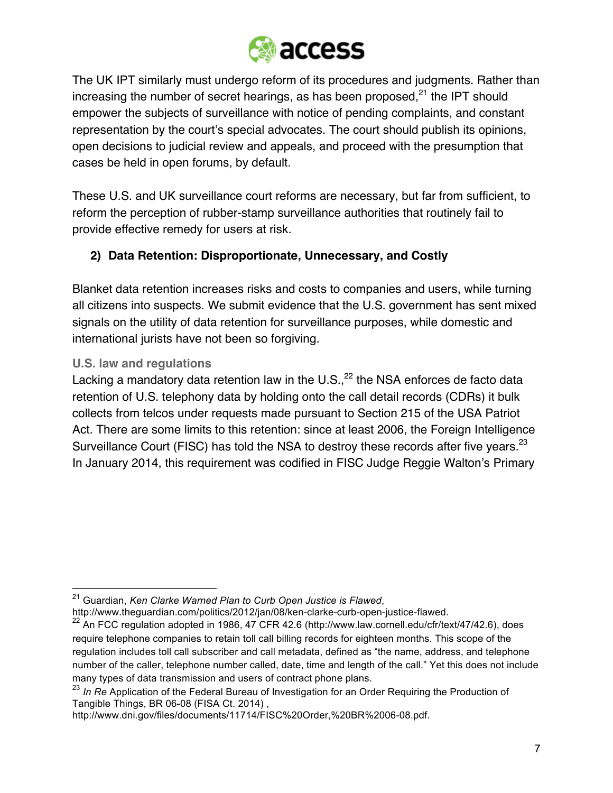

The UK IPT similarly must undergo reform of its procedures and judgments. Rather than increasing the number of secret hearings, as has been proposed, $21$  the IPT should empower the subjects of surveillance with notice of pending complaints, and constant representation by the court's special advocates. The court should publish its opinions, open decisions to judicial review and appeals, and proceed with the presumption that cases be held in open forums, by default.

These U.S. and UK surveillance court reforms are necessary, but far from sufficient, to reform the perception of rubber-stamp surveillance authorities that routinely fail to provide effective remedy for users at risk.

# **2) Data Retention: Disproportionate, Unnecessary, and Costly**

Blanket data retention increases risks and costs to companies and users, while turning all citizens into suspects. We submit evidence that the U.S. government has sent mixed signals on the utility of data retention for surveillance purposes, while domestic and international jurists have not been so forgiving.

## **U.S. law and regulations**

Lacking a mandatory data retention law in the U.S., $^{22}$  the NSA enforces de facto data retention of U.S. telephony data by holding onto the call detail records (CDRs) it bulk collects from telcos under requests made pursuant to Section 215 of the USA Patriot Act. There are some limits to this retention: since at least 2006, the Foreign Intelligence Surveillance Court (FISC) has told the NSA to destroy these records after five years.<sup>23</sup> In January 2014, this requirement was codified in FISC Judge Reggie Walton's Primary

http://www.theguardian.com/politics/2012/jan/08/ken-clarke-curb-open-justice-flawed.

 <sup>21</sup> Guardian, *Ken Clarke Warned Plan to Curb Open Justice is Flawed*,

 $^{22}$  An FCC regulation adopted in 1986, 47 CFR 42.6 (http://www.law.cornell.edu/cfr/text/47/42.6), does require telephone companies to retain toll call billing records for eighteen months. This scope of the regulation includes toll call subscriber and call metadata, defined as "the name, address, and telephone number of the caller, telephone number called, date, time and length of the call." Yet this does not include many types of data transmission and users of contract phone plans.

<sup>23</sup> *In Re* Application of the Federal Bureau of Investigation for an Order Requiring the Production of Tangible Things, BR 06-08 (FISA Ct. 2014) ,

http://www.dni.gov/files/documents/11714/FISC%20Order,%20BR%2006-08.pdf.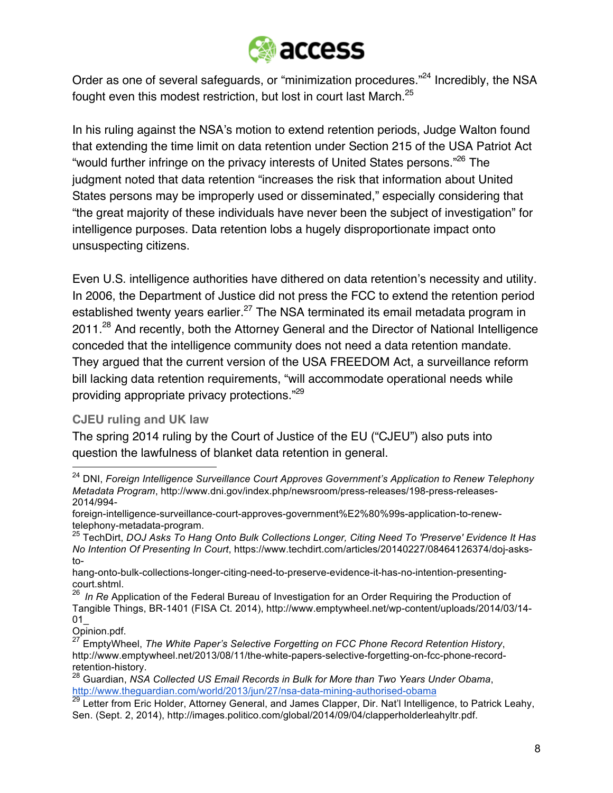

Order as one of several safeguards, or "minimization procedures."<sup>24</sup> Incredibly, the NSA fought even this modest restriction, but lost in court last March.<sup>25</sup>

In his ruling against the NSA's motion to extend retention periods, Judge Walton found that extending the time limit on data retention under Section 215 of the USA Patriot Act "would further infringe on the privacy interests of United States persons."26 The judgment noted that data retention "increases the risk that information about United States persons may be improperly used or disseminated," especially considering that "the great majority of these individuals have never been the subject of investigation" for intelligence purposes. Data retention lobs a hugely disproportionate impact onto unsuspecting citizens.

Even U.S. intelligence authorities have dithered on data retention's necessity and utility. In 2006, the Department of Justice did not press the FCC to extend the retention period established twenty years earlier.<sup>27</sup> The NSA terminated its email metadata program in 2011.<sup>28</sup> And recently, both the Attorney General and the Director of National Intelligence conceded that the intelligence community does not need a data retention mandate. They argued that the current version of the USA FREEDOM Act, a surveillance reform bill lacking data retention requirements, "will accommodate operational needs while providing appropriate privacy protections."29

### **CJEU ruling and UK law**

The spring 2014 ruling by the Court of Justice of the EU ("CJEU") also puts into question the lawfulness of blanket data retention in general.

 <sup>24</sup> DNI, *Foreign Intelligence Surveillance Court Approves Government's Application to Renew Telephony Metadata Program*, http://www.dni.gov/index.php/newsroom/press-releases/198-press-releases-2014/994-

foreign-intelligence-surveillance-court-approves-government%E2%80%99s-application-to-renewtelephony-metadata-program.

<sup>25</sup> TechDirt, *DOJ Asks To Hang Onto Bulk Collections Longer, Citing Need To 'Preserve' Evidence It Has No Intention Of Presenting In Court*, https://www.techdirt.com/articles/20140227/08464126374/doj-asksto-

hang-onto-bulk-collections-longer-citing-need-to-preserve-evidence-it-has-no-intention-presentingcourt.shtml.

<sup>26</sup> *In Re* Application of the Federal Bureau of Investigation for an Order Requiring the Production of Tangible Things, BR-1401 (FISA Ct. 2014), http://www.emptywheel.net/wp-content/uploads/2014/03/14-  $01$ 

Opinion.pdf.

<sup>27</sup> EmptyWheel, *The White Paper's Selective Forgetting on FCC Phone Record Retention History*, http://www.emptywheel.net/2013/08/11/the-white-papers-selective-forgetting-on-fcc-phone-recordretention-history.

<sup>28</sup> Guardian, *NSA Collected US Email Records in Bulk for More than Two Years Under Obama*, http://www.theguardian.com/world/2013/jun/27/nsa-data-mining-authorised-obama

<sup>&</sup>lt;sup>29</sup> Letter from Eric Holder, Attorney General, and James Clapper, Dir. Nat'l Intelligence, to Patrick Leahy, Sen. (Sept. 2, 2014), http://images.politico.com/global/2014/09/04/clapperholderleahyltr.pdf.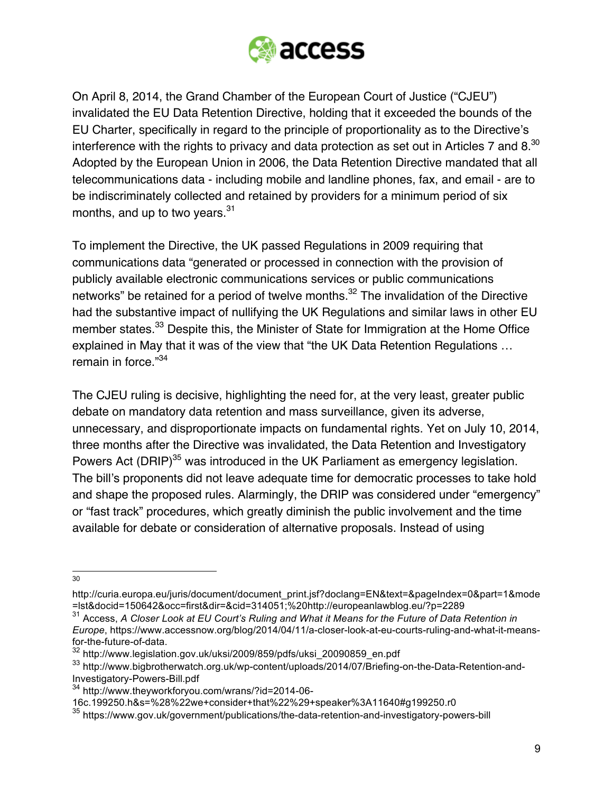

On April 8, 2014, the Grand Chamber of the European Court of Justice ("CJEU") invalidated the EU Data Retention Directive, holding that it exceeded the bounds of the EU Charter, specifically in regard to the principle of proportionality as to the Directive's interference with the rights to privacy and data protection as set out in Articles 7 and  $8^{30}$ Adopted by the European Union in 2006, the Data Retention Directive mandated that all telecommunications data - including mobile and landline phones, fax, and email - are to be indiscriminately collected and retained by providers for a minimum period of six months, and up to two years.<sup>31</sup>

To implement the Directive, the UK passed Regulations in 2009 requiring that communications data "generated or processed in connection with the provision of publicly available electronic communications services or public communications networks" be retained for a period of twelve months.<sup>32</sup> The invalidation of the Directive had the substantive impact of nullifying the UK Regulations and similar laws in other EU member states.<sup>33</sup> Despite this, the Minister of State for Immigration at the Home Office explained in May that it was of the view that "the UK Data Retention Regulations … remain in force."<sup>34</sup>

The CJEU ruling is decisive, highlighting the need for, at the very least, greater public debate on mandatory data retention and mass surveillance, given its adverse, unnecessary, and disproportionate impacts on fundamental rights. Yet on July 10, 2014, three months after the Directive was invalidated, the Data Retention and Investigatory Powers Act (DRIP)<sup>35</sup> was introduced in the UK Parliament as emergency legislation. The bill's proponents did not leave adequate time for democratic processes to take hold and shape the proposed rules. Alarmingly, the DRIP was considered under "emergency" or "fast track" procedures, which greatly diminish the public involvement and the time available for debate or consideration of alternative proposals. Instead of using

 <sup>30</sup>

http://curia.europa.eu/juris/document/document\_print.jsf?doclang=EN&text=&pageIndex=0&part=1&mode =lst&docid=150642&occ=first&dir=&cid=314051;%20http://europeanlawblog.eu/?p=2289

<sup>31</sup> Access, *A Closer Look at EU Court's Ruling and What it Means for the Future of Data Retention in Europe*, https://www.accessnow.org/blog/2014/04/11/a-closer-look-at-eu-courts-ruling-and-what-it-meansfor-the-future-of-data.

<sup>32</sup> http://www.legislation.gov.uk/uksi/2009/859/pdfs/uksi\_20090859\_en.pdf

<sup>33</sup> http://www.bigbrotherwatch.org.uk/wp-content/uploads/2014/07/Briefing-on-the-Data-Retention-and-Investigatory-Powers-Bill.pdf

<sup>34</sup> http://www.theyworkforyou.com/wrans/?id=2014-06-

<sup>16</sup>c.199250.h&s=%28%22we+consider+that%22%29+speaker%3A11640#g199250.r0

<sup>35</sup> https://www.gov.uk/government/publications/the-data-retention-and-investigatory-powers-bill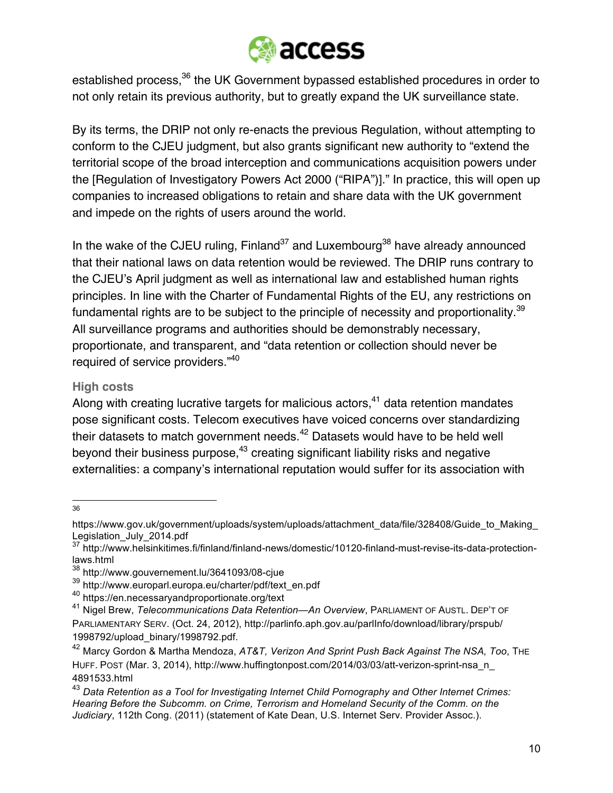

established process,<sup>36</sup> the UK Government bypassed established procedures in order to not only retain its previous authority, but to greatly expand the UK surveillance state.

By its terms, the DRIP not only re-enacts the previous Regulation, without attempting to conform to the CJEU judgment, but also grants significant new authority to "extend the territorial scope of the broad interception and communications acquisition powers under the [Regulation of Investigatory Powers Act 2000 ("RIPA")]." In practice, this will open up companies to increased obligations to retain and share data with the UK government and impede on the rights of users around the world.

In the wake of the CJEU ruling,  $Final and <sup>37</sup>$  and Luxembourg<sup>38</sup> have already announced that their national laws on data retention would be reviewed. The DRIP runs contrary to the CJEU's April judgment as well as international law and established human rights principles. In line with the Charter of Fundamental Rights of the EU, any restrictions on fundamental rights are to be subject to the principle of necessity and proportionality.<sup>39</sup> All surveillance programs and authorities should be demonstrably necessary, proportionate, and transparent, and "data retention or collection should never be required of service providers."40

#### **High costs**

Along with creating lucrative targets for malicious actors,  $41$  data retention mandates pose significant costs. Telecom executives have voiced concerns over standardizing their datasets to match government needs.<sup>42</sup> Datasets would have to be held well beyond their business purpose,<sup>43</sup> creating significant liability risks and negative externalities: a company's international reputation would suffer for its association with

 <sup>36</sup>

https://www.gov.uk/government/uploads/system/uploads/attachment\_data/file/328408/Guide\_to\_Making Legislation\_July\_2014.pdf

<sup>37</sup> http://www.helsinkitimes.fi/finland/finland-news/domestic/10120-finland-must-revise-its-data-protectionlaws.html

<sup>38</sup> http://www.gouvernement.lu/3641093/08-cjue

<sup>39</sup> http://www.europarl.europa.eu/charter/pdf/text\_en.pdf

<sup>40</sup> https://en.necessaryandproportionate.org/text

<sup>41</sup> Nigel Brew, *Telecommunications Data Retention—An Overview*, PARLIAMENT OF AUSTL. DEP'T OF PARLIAMENTARY SERV. (Oct. 24, 2012), http://parlinfo.aph.gov.au/parlInfo/download/library/prspub/ 1998792/upload\_binary/1998792.pdf.

<sup>42</sup> Marcy Gordon & Martha Mendoza, *AT&T, Verizon And Sprint Push Back Against The NSA, Too*, THE HUFF. POST (Mar. 3, 2014), http://www.huffingtonpost.com/2014/03/03/att-verizon-sprint-nsa\_n\_ 4891533.html

<sup>43</sup> *Data Retention as a Tool for Investigating Internet Child Pornography and Other Internet Crimes: Hearing Before the Subcomm. on Crime, Terrorism and Homeland Security of the Comm. on the Judiciary*, 112th Cong. (2011) (statement of Kate Dean, U.S. Internet Serv. Provider Assoc.).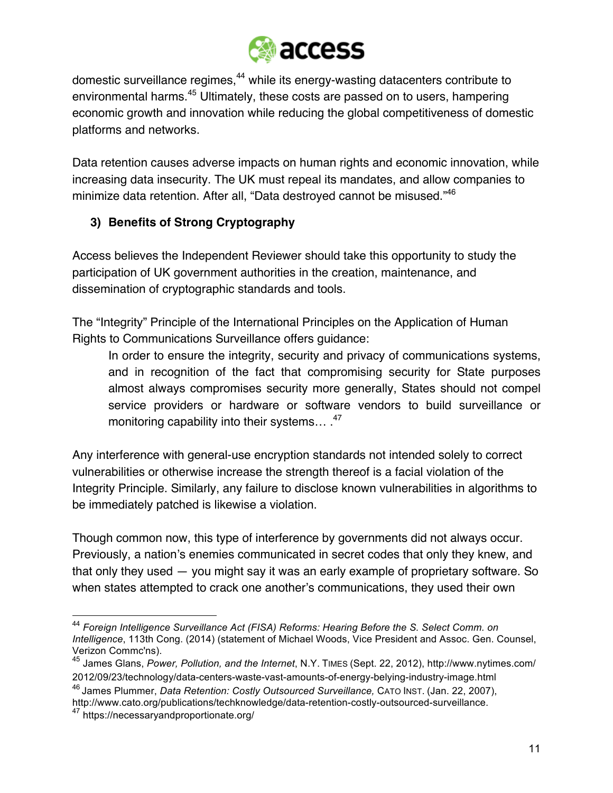

domestic surveillance regimes,<sup>44</sup> while its energy-wasting datacenters contribute to environmental harms.<sup>45</sup> Ultimately, these costs are passed on to users, hampering economic growth and innovation while reducing the global competitiveness of domestic platforms and networks.

Data retention causes adverse impacts on human rights and economic innovation, while increasing data insecurity. The UK must repeal its mandates, and allow companies to minimize data retention. After all, "Data destroyed cannot be misused."<sup>46</sup>

## **3) Benefits of Strong Cryptography**

Access believes the Independent Reviewer should take this opportunity to study the participation of UK government authorities in the creation, maintenance, and dissemination of cryptographic standards and tools.

The "Integrity" Principle of the International Principles on the Application of Human Rights to Communications Surveillance offers guidance:

In order to ensure the integrity, security and privacy of communications systems, and in recognition of the fact that compromising security for State purposes almost always compromises security more generally, States should not compel service providers or hardware or software vendors to build surveillance or monitoring capability into their systems...<sup>47</sup>

Any interference with general-use encryption standards not intended solely to correct vulnerabilities or otherwise increase the strength thereof is a facial violation of the Integrity Principle. Similarly, any failure to disclose known vulnerabilities in algorithms to be immediately patched is likewise a violation.

Though common now, this type of interference by governments did not always occur. Previously, a nation's enemies communicated in secret codes that only they knew, and that only they used — you might say it was an early example of proprietary software. So when states attempted to crack one another's communications, they used their own

 <sup>44</sup> *Foreign Intelligence Surveillance Act (FISA) Reforms: Hearing Before the S. Select Comm. on Intelligence*, 113th Cong. (2014) (statement of Michael Woods, Vice President and Assoc. Gen. Counsel, Verizon Commc'ns).

<sup>45</sup> James Glans, *Power, Pollution, and the Internet*, N.Y. TIMES (Sept. 22, 2012), http://www.nytimes.com/ 2012/09/23/technology/data-centers-waste-vast-amounts-of-energy-belying-industry-image.html

<sup>46</sup> James Plummer, *Data Retention: Costly Outsourced Surveillance,* CATO INST. (Jan. 22, 2007), http://www.cato.org/publications/techknowledge/data-retention-costly-outsourced-surveillance.

<sup>47</sup> https://necessaryandproportionate.org/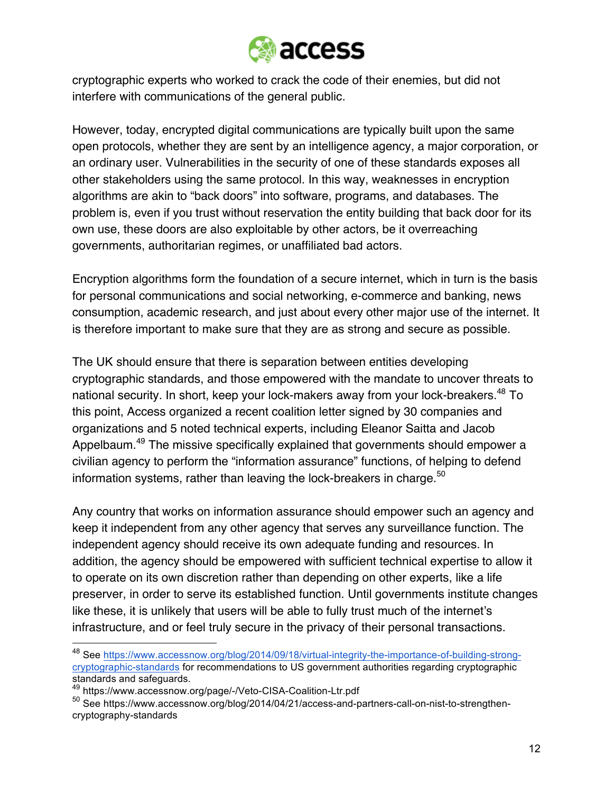

cryptographic experts who worked to crack the code of their enemies, but did not interfere with communications of the general public.

However, today, encrypted digital communications are typically built upon the same open protocols, whether they are sent by an intelligence agency, a major corporation, or an ordinary user. Vulnerabilities in the security of one of these standards exposes all other stakeholders using the same protocol. In this way, weaknesses in encryption algorithms are akin to "back doors" into software, programs, and databases. The problem is, even if you trust without reservation the entity building that back door for its own use, these doors are also exploitable by other actors, be it overreaching governments, authoritarian regimes, or unaffiliated bad actors.

Encryption algorithms form the foundation of a secure internet, which in turn is the basis for personal communications and social networking, e-commerce and banking, news consumption, academic research, and just about every other major use of the internet. It is therefore important to make sure that they are as strong and secure as possible.

The UK should ensure that there is separation between entities developing cryptographic standards, and those empowered with the mandate to uncover threats to national security. In short, keep your lock-makers away from your lock-breakers.<sup>48</sup> To this point, Access organized a recent coalition letter signed by 30 companies and organizations and 5 noted technical experts, including Eleanor Saitta and Jacob Appelbaum.<sup>49</sup> The missive specifically explained that governments should empower a civilian agency to perform the "information assurance" functions, of helping to defend information systems, rather than leaving the lock-breakers in charge.<sup>50</sup>

Any country that works on information assurance should empower such an agency and keep it independent from any other agency that serves any surveillance function. The independent agency should receive its own adequate funding and resources. In addition, the agency should be empowered with sufficient technical expertise to allow it to operate on its own discretion rather than depending on other experts, like a life preserver, in order to serve its established function. Until governments institute changes like these, it is unlikely that users will be able to fully trust much of the internet's infrastructure, and or feel truly secure in the privacy of their personal transactions.

 <sup>48</sup> See https://www.accessnow.org/blog/2014/09/18/virtual-integrity-the-importance-of-building-strongcryptographic-standards for recommendations to US government authorities regarding cryptographic standards and safeguards.

<sup>49</sup> https://www.accessnow.org/page/-/Veto-CISA-Coalition-Ltr.pdf

<sup>&</sup>lt;sup>50</sup> See https://www.accessnow.org/blog/2014/04/21/access-and-partners-call-on-nist-to-strengthencryptography-standards